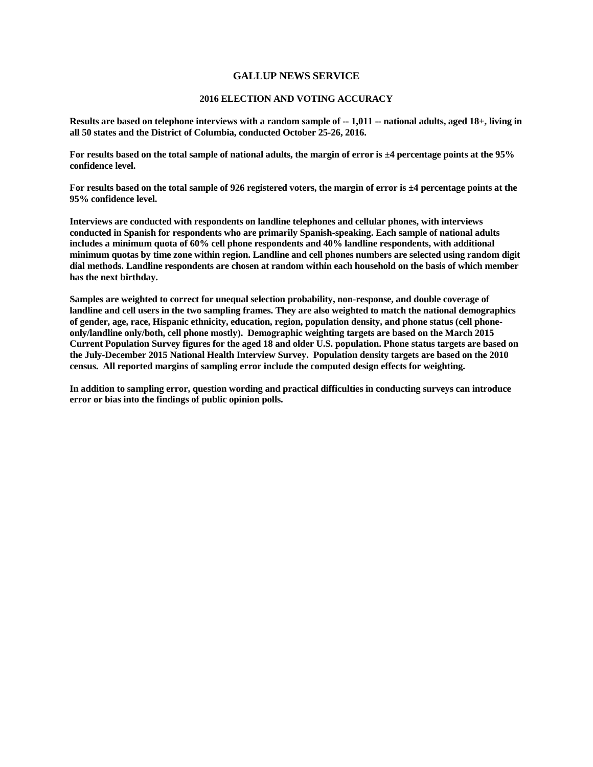## **GALLUP NEWS SERVICE**

## **2016 ELECTION AND VOTING ACCURACY**

**Results are based on telephone interviews with a random sample of -- 1,011 -- national adults, aged 18+, living in all 50 states and the District of Columbia, conducted October 25-26, 2016.** 

**For results based on the total sample of national adults, the margin of error is ±4 percentage points at the 95% confidence level.**

**For results based on the total sample of 926 registered voters, the margin of error is ±4 percentage points at the 95% confidence level.**

**Interviews are conducted with respondents on landline telephones and cellular phones, with interviews conducted in Spanish for respondents who are primarily Spanish-speaking. Each sample of national adults includes a minimum quota of 60% cell phone respondents and 40% landline respondents, with additional minimum quotas by time zone within region. Landline and cell phones numbers are selected using random digit dial methods. Landline respondents are chosen at random within each household on the basis of which member has the next birthday.**

**Samples are weighted to correct for unequal selection probability, non-response, and double coverage of landline and cell users in the two sampling frames. They are also weighted to match the national demographics of gender, age, race, Hispanic ethnicity, education, region, population density, and phone status (cell phoneonly/landline only/both, cell phone mostly). Demographic weighting targets are based on the March 2015 Current Population Survey figures for the aged 18 and older U.S. population. Phone status targets are based on the July-December 2015 National Health Interview Survey. Population density targets are based on the 2010 census. All reported margins of sampling error include the computed design effects for weighting.** 

**In addition to sampling error, question wording and practical difficulties in conducting surveys can introduce error or bias into the findings of public opinion polls.**